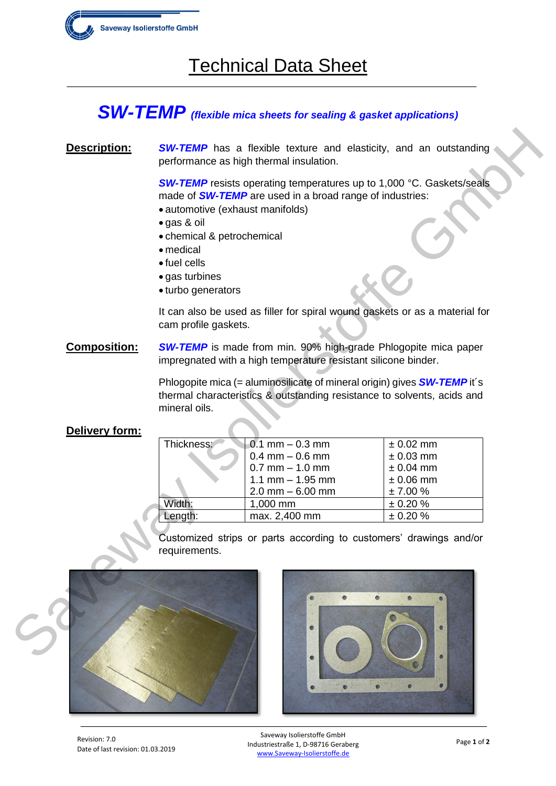

# Technical Data Sheet

### *SW-TEMP (flexible mica sheets for sealing & gasket applications)*

### **Description:** *SW-TEMP* has a flexible texture and elasticity, and an outstanding performance as high thermal insulation.

- automotive (exhaust manifolds)
- gas & oil
- chemical & petrochemical
- medical
- fuel cells
- gas turbines
- turbo generators

#### **Delivery form:**

| Description:        |                                                                                                                                                            | <b>SW-TEMP</b> has a flexible texture and elasticity, and an outstanding<br>performance as high thermal insulation.                                        |                            |
|---------------------|------------------------------------------------------------------------------------------------------------------------------------------------------------|------------------------------------------------------------------------------------------------------------------------------------------------------------|----------------------------|
|                     | • automotive (exhaust manifolds)<br>· gas & oil<br>• chemical & petrochemical<br>• medical<br>$\bullet$ fuel cells<br>• gas turbines<br>• turbo generators | <b>SW-TEMP</b> resists operating temperatures up to 1,000 °C. Gaskets/seals<br>made of <b>SW-TEMP</b> are used in a broad range of industries:             |                            |
|                     | cam profile gaskets.                                                                                                                                       | It can also be used as filler for spiral wound gaskets or as a material for                                                                                |                            |
| <b>Composition:</b> | <b>SW-TEMP</b> is made from min. 90% high-grade Phlogopite mica paper<br>impregnated with a high temperature resistant silicone binder.                    |                                                                                                                                                            |                            |
|                     | mineral oils.                                                                                                                                              | Phlogopite mica (= aluminosilicate of mineral origin) gives <b>SW-TEMP</b> it's<br>thermal characteristics & outstanding resistance to solvents, acids and |                            |
| Delivery form:      |                                                                                                                                                            |                                                                                                                                                            |                            |
|                     | Thickness:                                                                                                                                                 | $0.1$ mm $-0.3$ mm<br>$0.4$ mm $-0.6$ mm                                                                                                                   | $± 0.02$ mm<br>$± 0.03$ mm |
|                     |                                                                                                                                                            | $0.7$ mm $-1.0$ mm                                                                                                                                         | $± 0.04$ mm                |
|                     |                                                                                                                                                            | $1.1$ mm $- 1.95$ mm                                                                                                                                       | $± 0.06$ mm                |
|                     |                                                                                                                                                            | $2.0$ mm $-6.00$ mm                                                                                                                                        | ± 7.00 %                   |
|                     | Width:                                                                                                                                                     | 1,000 mm                                                                                                                                                   | ± 0.20 %                   |
|                     | Length:                                                                                                                                                    | max. 2,400 mm                                                                                                                                              | ± 0.20 %                   |
|                     | requirements.                                                                                                                                              | Customized strips or parts according to customers' drawings and/or                                                                                         |                            |
|                     |                                                                                                                                                            |                                                                                                                                                            |                            |